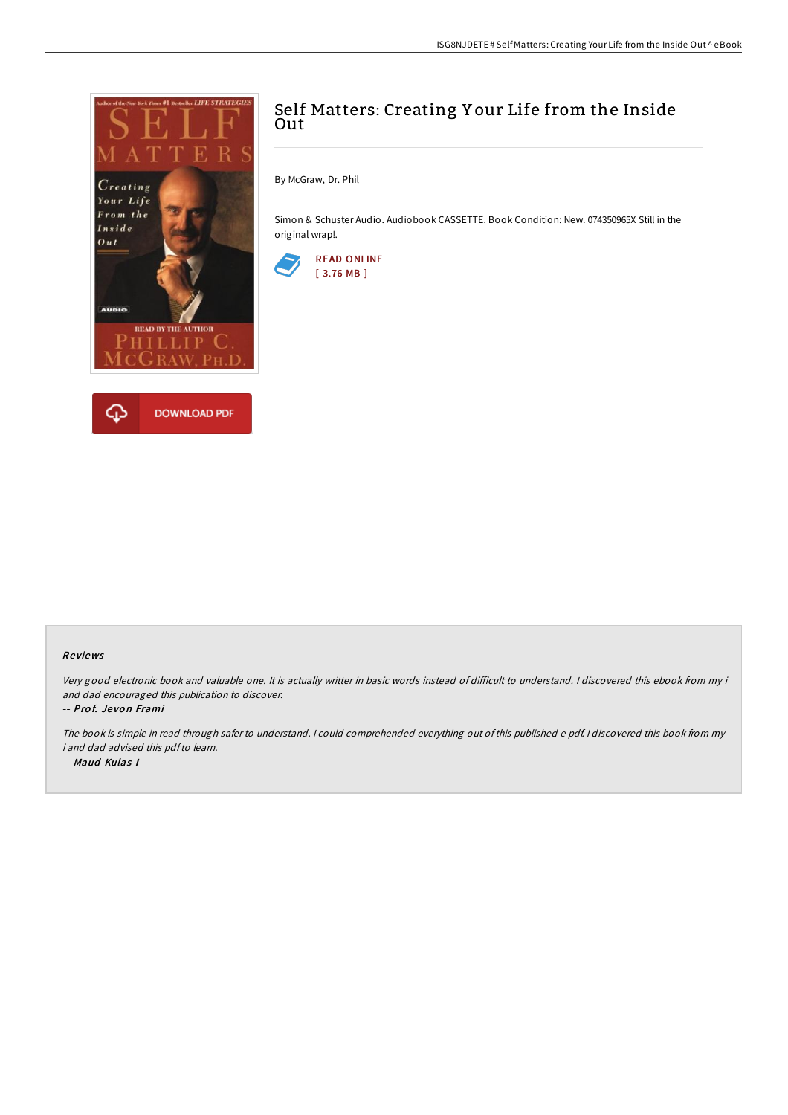



## Self Matters: Creating Y our Life from the Inside **Out**

By McGraw, Dr. Phil

Simon & Schuster Audio. Audiobook CASSETTE. Book Condition: New. 074350965X Still in the original wrap!.



## Re views

Very good electronic book and valuable one. It is actually writter in basic words instead of difficult to understand. I discovered this ebook from my i and dad encouraged this publication to discover.

-- Prof. Jevon Frami

The book is simple in read through safer to understand. <sup>I</sup> could comprehended everything out of this published <sup>e</sup> pdf. <sup>I</sup> discovered this book from my i and dad advised this pdfto learn. -- Maud Kulas I